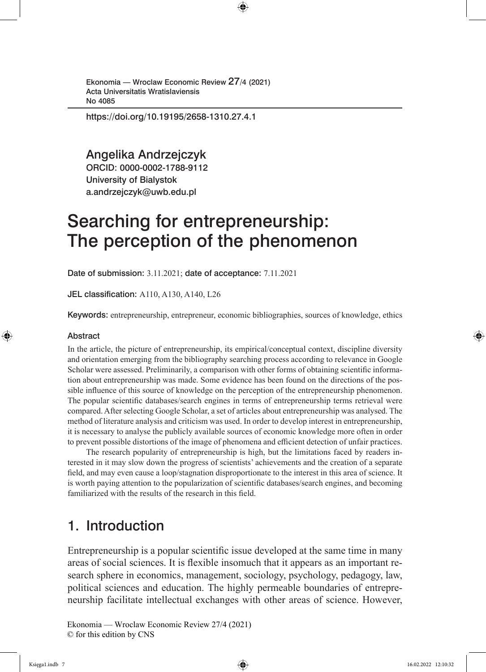https://doi.org/10.19195/2658-1310.27.4.1

Angelika Andrzejczyk ORCID: 0000-0002-1788-9112

University of Bialystok a.andrzejczyk@uwb.edu.pl

# Searching for entrepreneurship: The perception of the phenomenon

Date of submission: 3.11.2021; date of acceptance: 7.11.2021

JEL classification: A110, A130, A140, L26

Keywords: entrepreneurship, entrepreneur, economic bibliographies, sources of knowledge, ethics

#### Abstract

In the article, the picture of entrepreneurship, its empirical/conceptual context, discipline diversity and orientation emerging from the bibliography searching process according to relevance in Google Scholar were assessed. Preliminarily, a comparison with other forms of obtaining scientific information about entrepreneurship was made. Some evidence has been found on the directions of the possible influence of this source of knowledge on the perception of the entrepreneurship phenomenon. The popular scientific databases/search engines in terms of entrepreneurship terms retrieval were compared. After selecting Google Scholar, a set of articles about entrepreneurship was analysed. The method of literature analysis and criticism was used. In order to develop interest in entrepreneurship, it is necessary to analyse the publicly available sources of economic knowledge more often in order to prevent possible distortions of the image of phenomena and efficient detection of unfair practices.

The research popularity of entrepreneurship is high, but the limitations faced by readers interested in it may slow down the progress of scientists' achievements and the creation of a separate field, and may even cause a loop/stagnation disproportionate to the interest in this area of science. It is worth paying attention to the popularization of scientific databases/search engines, and becoming familiarized with the results of the research in this field.

# 1. Introduction

Entrepreneurship is a popular scientific issue developed at the same time in many areas of social sciences. It is flexible insomuch that it appears as an important research sphere in economics, management, sociology, psychology, pedagogy, law, political sciences and education. The highly permeable boundaries of entrepreneurship facilitate intellectual exchanges with other areas of science. However,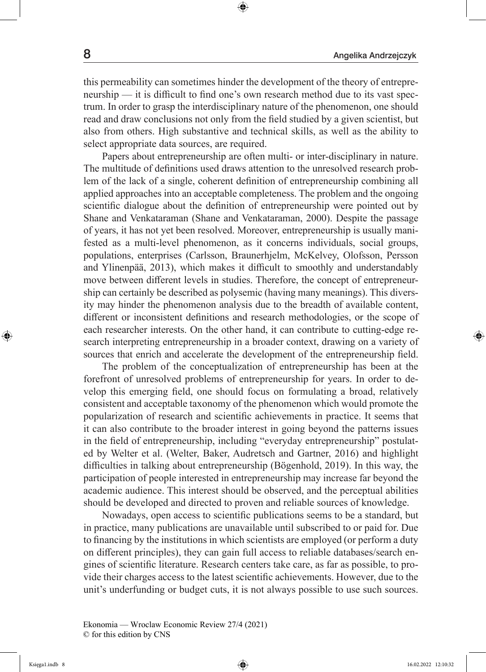this permeability can sometimes hinder the development of the theory of entrepreneurship — it is difficult to find one's own research method due to its vast spectrum. In order to grasp the interdisciplinary nature of the phenomenon, one should read and draw conclusions not only from the field studied by a given scientist, but also from others. High substantive and technical skills, as well as the ability to select appropriate data sources, are required.

Papers about entrepreneurship are often multi- or inter-disciplinary in nature. The multitude of definitions used draws attention to the unresolved research problem of the lack of a single, coherent definition of entrepreneurship combining all applied approaches into an acceptable completeness. The problem and the ongoing scientific dialogue about the definition of entrepreneurship were pointed out by Shane and Venkataraman (Shane and Venkataraman, 2000). Despite the passage of years, it has not yet been resolved. Moreover, entrepreneurship is usually manifested as a multi-level phenomenon, as it concerns individuals, social groups, populations, enterprises (Carlsson, Braunerhjelm, McKelvey, Olofsson, Persson and Ylinenpää, 2013), which makes it difficult to smoothly and understandably move between different levels in studies. Therefore, the concept of entrepreneurship can certainly be described as polysemic (having many meanings). This diversity may hinder the phenomenon analysis due to the breadth of available content, different or inconsistent definitions and research methodologies, or the scope of each researcher interests. On the other hand, it can contribute to cutting-edge research interpreting entrepreneurship in a broader context, drawing on a variety of sources that enrich and accelerate the development of the entrepreneurship field.

The problem of the conceptualization of entrepreneurship has been at the forefront of unresolved problems of entrepreneurship for years. In order to develop this emerging field, one should focus on formulating a broad, relatively consistent and acceptable taxonomy of the phenomenon which would promote the popularization of research and scientific achievements in practice. It seems that it can also contribute to the broader interest in going beyond the patterns issues in the field of entrepreneurship, including "everyday entrepreneurship" postulated by Welter et al. (Welter, Baker, Audretsch and Gartner, 2016) and highlight difficulties in talking about entrepreneurship (Bögenhold, 2019). In this way, the participation of people interested in entrepreneurship may increase far beyond the academic audience. This interest should be observed, and the perceptual abilities should be developed and directed to proven and reliable sources of knowledge.

Nowadays, open access to scientific publications seems to be a standard, but in practice, many publications are unavailable until subscribed to or paid for. Due to financing by the institutions in which scientists are employed (or perform a duty on different principles), they can gain full access to reliable databases/search engines of scientific literature. Research centers take care, as far as possible, to provide their charges access to the latest scientific achievements. However, due to the unit's underfunding or budget cuts, it is not always possible to use such sources.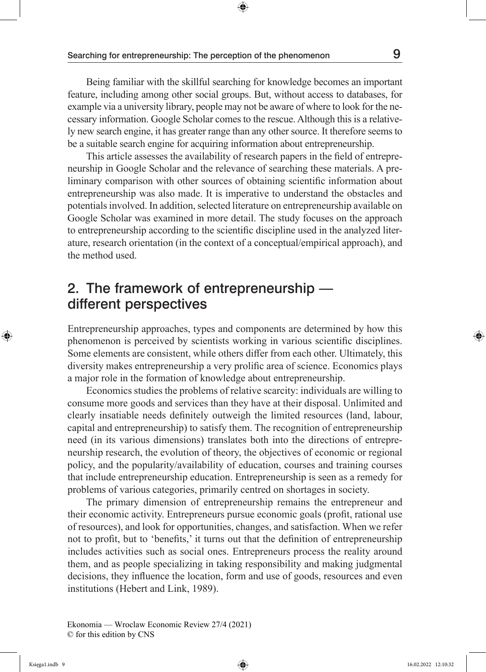Being familiar with the skillful searching for knowledge becomes an important feature, including among other social groups. But, without access to databases, for example via a university library, people may not be aware of where to look for the necessary information. Google Scholar comes to the rescue. Although this is a relatively new search engine, it has greater range than any other source. It therefore seems to be a suitable search engine for acquiring information about entrepreneurship.

This article assesses the availability of research papers in the field of entrepreneurship in Google Scholar and the relevance of searching these materials. A preliminary comparison with other sources of obtaining scientific information about entrepreneurship was also made. It is imperative to understand the obstacles and potentials involved. In addition, selected literature on entrepreneurship available on Google Scholar was examined in more detail. The study focuses on the approach to entrepreneurship according to the scientific discipline used in the analyzed literature, research orientation (in the context of a conceptual/empirical approach), and the method used.

# 2. The framework of entrepreneurship different perspectives

Entrepreneurship approaches, types and components are determined by how this phenomenon is perceived by scientists working in various scientific disciplines. Some elements are consistent, while others differ from each other. Ultimately, this diversity makes entrepreneurship a very prolific area of science. Economics plays a major role in the formation of knowledge about entrepreneurship.

Economics studies the problems of relative scarcity: individuals are willing to consume more goods and services than they have at their disposal. Unlimited and clearly insatiable needs definitely outweigh the limited resources (land, labour, capital and entrepreneurship) to satisfy them. The recognition of entrepreneurship need (in its various dimensions) translates both into the directions of entrepreneurship research, the evolution of theory, the objectives of economic or regional policy, and the popularity/availability of education, courses and training courses that include entrepreneurship education. Entrepreneurship is seen as a remedy for problems of various categories, primarily centred on shortages in society.

The primary dimension of entrepreneurship remains the entrepreneur and their economic activity. Entrepreneurs pursue economic goals (profit, rational use of resources), and look for opportunities, changes, and satisfaction. When we refer not to profit, but to 'benefits,' it turns out that the definition of entrepreneurship includes activities such as social ones. Entrepreneurs process the reality around them, and as people specializing in taking responsibility and making judgmental decisions, they influence the location, form and use of goods, resources and even institutions (Hebert and Link, 1989).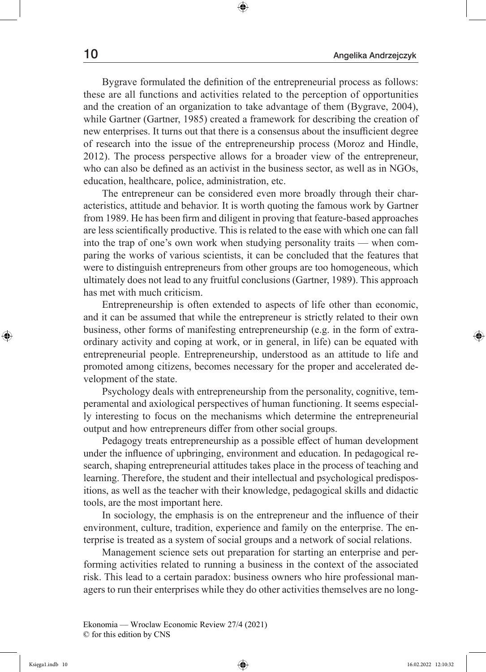Bygrave formulated the definition of the entrepreneurial process as follows: these are all functions and activities related to the perception of opportunities and the creation of an organization to take advantage of them (Bygrave, 2004), while Gartner (Gartner, 1985) created a framework for describing the creation of new enterprises. It turns out that there is a consensus about the insufficient degree of research into the issue of the entrepreneurship process (Moroz and Hindle, 2012). The process perspective allows for a broader view of the entrepreneur, who can also be defined as an activist in the business sector, as well as in NGOs, education, healthcare, police, administration, etc.

The entrepreneur can be considered even more broadly through their characteristics, attitude and behavior. It is worth quoting the famous work by Gartner from 1989. He has been firm and diligent in proving that feature-based approaches are less scientifically productive. This is related to the ease with which one can fall into the trap of one's own work when studying personality traits — when comparing the works of various scientists, it can be concluded that the features that were to distinguish entrepreneurs from other groups are too homogeneous, which ultimately does not lead to any fruitful conclusions (Gartner, 1989). This approach has met with much criticism.

Entrepreneurship is often extended to aspects of life other than economic, and it can be assumed that while the entrepreneur is strictly related to their own business, other forms of manifesting entrepreneurship (e.g. in the form of extraordinary activity and coping at work, or in general, in life) can be equated with entrepreneurial people. Entrepreneurship, understood as an attitude to life and promoted among citizens, becomes necessary for the proper and accelerated development of the state.

Psychology deals with entrepreneurship from the personality, cognitive, temperamental and axiological perspectives of human functioning. It seems especially interesting to focus on the mechanisms which determine the entrepreneurial output and how entrepreneurs differ from other social groups.

Pedagogy treats entrepreneurship as a possible effect of human development under the influence of upbringing, environment and education. In pedagogical research, shaping entrepreneurial attitudes takes place in the process of teaching and learning. Therefore, the student and their intellectual and psychological predispositions, as well as the teacher with their knowledge, pedagogical skills and didactic tools, are the most important here.

In sociology, the emphasis is on the entrepreneur and the influence of their environment, culture, tradition, experience and family on the enterprise. The enterprise is treated as a system of social groups and a network of social relations.

Management science sets out preparation for starting an enterprise and performing activities related to running a business in the context of the associated risk. This lead to a certain paradox: business owners who hire professional managers to run their enterprises while they do other activities themselves are no long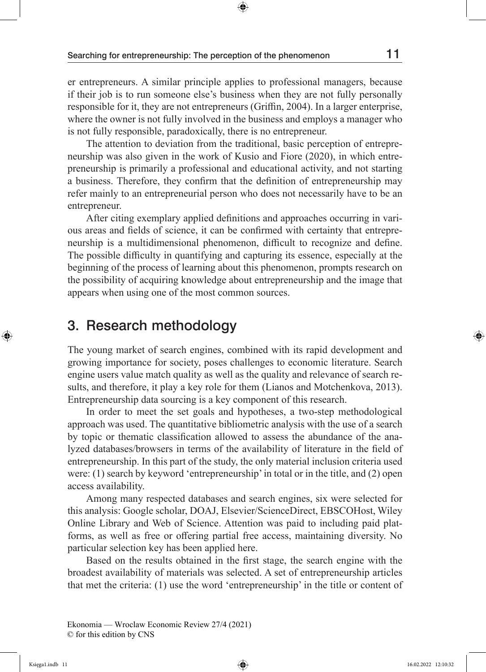er entrepreneurs. A similar principle applies to professional managers, because if their job is to run someone else's business when they are not fully personally responsible for it, they are not entrepreneurs (Griffin, 2004). In a larger enterprise, where the owner is not fully involved in the business and employs a manager who is not fully responsible, paradoxically, there is no entrepreneur.

The attention to deviation from the traditional, basic perception of entrepreneurship was also given in the work of Kusio and Fiore (2020), in which entrepreneurship is primarily a professional and educational activity, and not starting a business. Therefore, they confirm that the definition of entrepreneurship may refer mainly to an entrepreneurial person who does not necessarily have to be an entrepreneur.

After citing exemplary applied definitions and approaches occurring in various areas and fields of science, it can be confirmed with certainty that entrepreneurship is a multidimensional phenomenon, difficult to recognize and define. The possible difficulty in quantifying and capturing its essence, especially at the beginning of the process of learning about this phenomenon, prompts research on the possibility of acquiring knowledge about entrepreneurship and the image that appears when using one of the most common sources.

# 3. Research methodology

The young market of search engines, combined with its rapid development and growing importance for society, poses challenges to economic literature. Search engine users value match quality as well as the quality and relevance of search results, and therefore, it play a key role for them (Lianos and Motchenkova, 2013). Entrepreneurship data sourcing is a key component of this research.

In order to meet the set goals and hypotheses, a two-step methodological approach was used. The quantitative bibliometric analysis with the use of a search by topic or thematic classification allowed to assess the abundance of the analyzed databases/browsers in terms of the availability of literature in the field of entrepreneurship. In this part of the study, the only material inclusion criteria used were: (1) search by keyword 'entrepreneurship' in total or in the title, and (2) open access availability.

Among many respected databases and search engines, six were selected for this analysis: Google scholar, DOAJ, Elsevier/ScienceDirect, EBSCOHost, Wiley Online Library and Web of Science. Attention was paid to including paid platforms, as well as free or offering partial free access, maintaining diversity. No particular selection key has been applied here.

Based on the results obtained in the first stage, the search engine with the broadest availability of materials was selected. A set of entrepreneurship articles that met the criteria: (1) use the word 'entrepreneurship' in the title or content of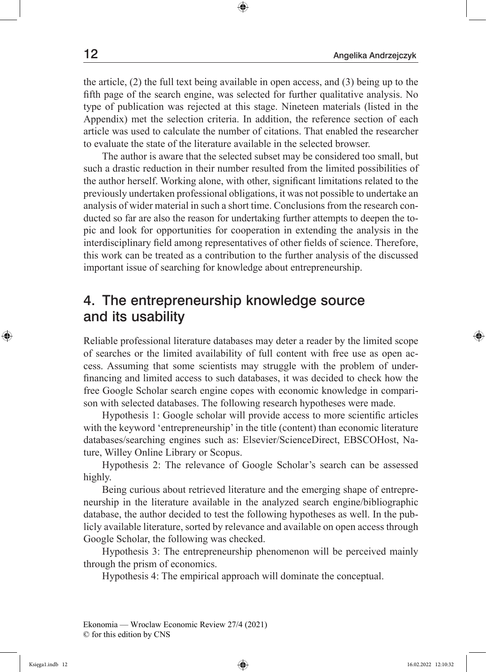the article, (2) the full text being available in open access, and (3) being up to the fifth page of the search engine, was selected for further qualitative analysis. No type of publication was rejected at this stage. Nineteen materials (listed in the Appendix) met the selection criteria. In addition, the reference section of each article was used to calculate the number of citations. That enabled the researcher to evaluate the state of the literature available in the selected browser.

The author is aware that the selected subset may be considered too small, but such a drastic reduction in their number resulted from the limited possibilities of the author herself. Working alone, with other, significant limitations related to the previously undertaken professional obligations, it was not possible to undertake an analysis of wider material in such a short time. Conclusions from the research conducted so far are also the reason for undertaking further attempts to deepen the topic and look for opportunities for cooperation in extending the analysis in the interdisciplinary field among representatives of other fields of science. Therefore, this work can be treated as a contribution to the further analysis of the discussed important issue of searching for knowledge about entrepreneurship.

# 4. The entrepreneurship knowledge source and its usability

Reliable professional literature databases may deter a reader by the limited scope of searches or the limited availability of full content with free use as open access. Assuming that some scientists may struggle with the problem of underfinancing and limited access to such databases, it was decided to check how the free Google Scholar search engine copes with economic knowledge in comparison with selected databases. The following research hypotheses were made.

Hypothesis 1: Google scholar will provide access to more scientific articles with the keyword 'entrepreneurship' in the title (content) than economic literature databases/searching engines such as: Elsevier/ScienceDirect, EBSCOHost, Nature, Willey Online Library or Scopus.

Hypothesis 2: The relevance of Google Scholar's search can be assessed highly.

Being curious about retrieved literature and the emerging shape of entrepreneurship in the literature available in the analyzed search engine/bibliographic database, the author decided to test the following hypotheses as well. In the publicly available literature, sorted by relevance and available on open access through Google Scholar, the following was checked.

Hypothesis 3: The entrepreneurship phenomenon will be perceived mainly through the prism of economics.

Hypothesis 4: The empirical approach will dominate the conceptual.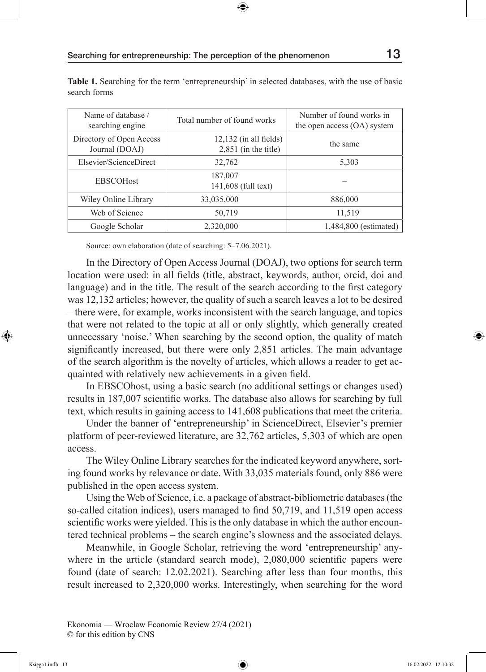| Name of database /<br>searching engine     | Total number of found works                        | Number of found works in<br>the open access (OA) system |
|--------------------------------------------|----------------------------------------------------|---------------------------------------------------------|
| Directory of Open Access<br>Journal (DOAJ) | $12,132$ (in all fields)<br>$2,851$ (in the title) | the same                                                |
| Elsevier/ScienceDirect                     | 32,762                                             | 5,303                                                   |
| <b>EBSCOHost</b>                           | 187,007<br>141,608 (full text)                     |                                                         |
| Wiley Online Library                       | 33,035,000                                         | 886,000                                                 |
| Web of Science                             | 50,719                                             | 11,519                                                  |
| Google Scholar                             | 2,320,000                                          | 1,484,800 (estimated)                                   |

**Table 1.** Searching for the term 'entrepreneurship' in selected databases, with the use of basic search forms

Source: own elaboration (date of searching: 5–7.06.2021).

In the Directory of Open Access Journal (DOAJ), two options for search term location were used: in all fields (title, abstract, keywords, author, orcid, doi and language) and in the title. The result of the search according to the first category was 12,132 articles; however, the quality of such a search leaves a lot to be desired – there were, for example, works inconsistent with the search language, and topics that were not related to the topic at all or only slightly, which generally created unnecessary 'noise.' When searching by the second option, the quality of match significantly increased, but there were only 2,851 articles. The main advantage of the search algorithm is the novelty of articles, which allows a reader to get acquainted with relatively new achievements in a given field.

In EBSCOhost, using a basic search (no additional settings or changes used) results in 187,007 scientific works. The database also allows for searching by full text, which results in gaining access to 141,608 publications that meet the criteria.

Under the banner of 'entrepreneurship' in ScienceDirect, Elsevier's premier platform of peer-reviewed literature, are 32,762 articles, 5,303 of which are open access.

The Wiley Online Library searches for the indicated keyword anywhere, sorting found works by relevance or date. With 33,035 materials found, only 886 were published in the open access system.

Using the Web of Science, i.e. a package of abstract-bibliometric databases (the so-called citation indices), users managed to find 50,719, and 11,519 open access scientific works were yielded. This is the only database in which the author encountered technical problems – the search engine's slowness and the associated delays.

Meanwhile, in Google Scholar, retrieving the word 'entrepreneurship' anywhere in the article (standard search mode), 2,080,000 scientific papers were found (date of search: 12.02.2021). Searching after less than four months, this result increased to 2,320,000 works. Interestingly, when searching for the word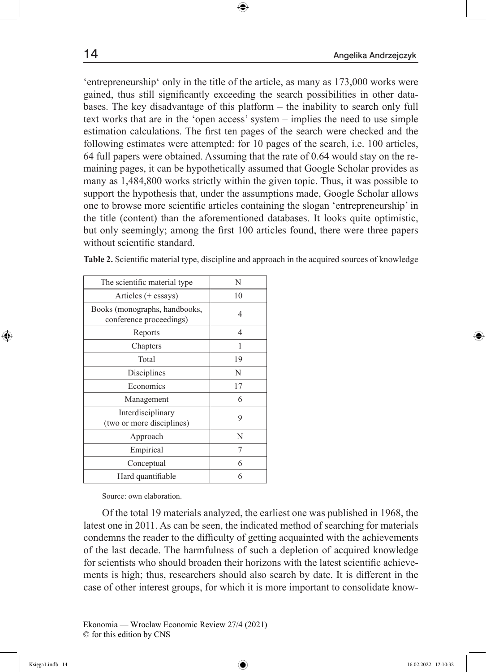'entrepreneurship' only in the title of the article, as many as 173,000 works were gained, thus still significantly exceeding the search possibilities in other databases. The key disadvantage of this platform – the inability to search only full text works that are in the 'open access' system – implies the need to use simple estimation calculations. The first ten pages of the search were checked and the following estimates were attempted: for 10 pages of the search, i.e. 100 articles, 64 full papers were obtained. Assuming that the rate of 0.64 would stay on the remaining pages, it can be hypothetically assumed that Google Scholar provides as many as 1,484,800 works strictly within the given topic. Thus, it was possible to support the hypothesis that, under the assumptions made, Google Scholar allows one to browse more scientific articles containing the slogan 'entrepreneurship' in the title (content) than the aforementioned databases. It looks quite optimistic, but only seemingly; among the first 100 articles found, there were three papers without scientific standard.

| The scientific material type                             | N  |
|----------------------------------------------------------|----|
| Articles (+ essays)                                      | 10 |
| Books (monographs, handbooks,<br>conference proceedings) | 4  |
| Reports                                                  | 4  |
| Chapters                                                 | 1  |
| Total                                                    | 19 |
| Disciplines                                              | N  |
| Economics                                                | 17 |
| Management                                               | 6  |
| Interdisciplinary<br>(two or more disciplines)           | 9  |
| Approach                                                 | N  |
| Empirical                                                | 7  |
| Conceptual                                               | 6  |
| Hard quantifiable                                        | 6  |

**Table 2.** Scientific material type, discipline and approach in the acquired sources of knowledge

Source: own elaboration.

Of the total 19 materials analyzed, the earliest one was published in 1968, the latest one in 2011. As can be seen, the indicated method of searching for materials condemns the reader to the difficulty of getting acquainted with the achievements of the last decade. The harmfulness of such a depletion of acquired knowledge for scientists who should broaden their horizons with the latest scientific achievements is high; thus, researchers should also search by date. It is different in the case of other interest groups, for which it is more important to consolidate know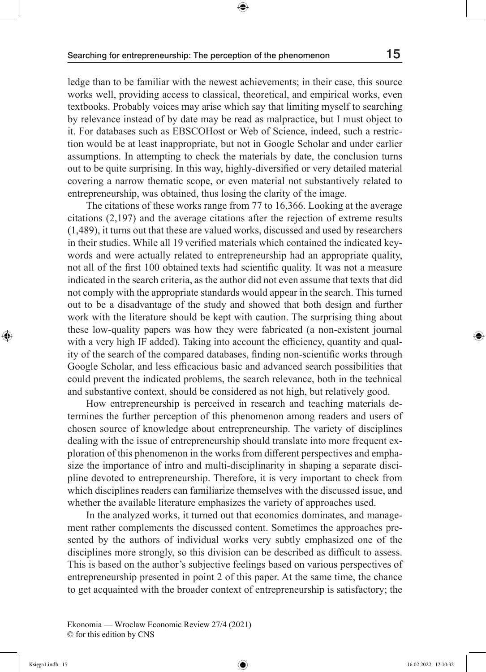ledge than to be familiar with the newest achievements; in their case, this source works well, providing access to classical, theoretical, and empirical works, even textbooks. Probably voices may arise which say that limiting myself to searching by relevance instead of by date may be read as malpractice, but I must object to it. For databases such as EBSCOHost or Web of Science, indeed, such a restriction would be at least inappropriate, but not in Google Scholar and under earlier assumptions. In attempting to check the materials by date, the conclusion turns out to be quite surprising. In this way, highly-diversified or very detailed material covering a narrow thematic scope, or even material not substantively related to entrepreneurship, was obtained, thus losing the clarity of the image.

The citations of these works range from 77 to 16,366. Looking at the average citations (2,197) and the average citations after the rejection of extreme results (1,489), it turns out that these are valued works, discussed and used by researchers in their studies. While all 19 verified materials which contained the indicated keywords and were actually related to entrepreneurship had an appropriate quality, not all of the first 100 obtained texts had scientific quality. It was not a measure indicated in the search criteria, as the author did not even assume that texts that did not comply with the appropriate standards would appear in the search. This turned out to be a disadvantage of the study and showed that both design and further work with the literature should be kept with caution. The surprising thing about these low-quality papers was how they were fabricated (a non-existent journal with a very high IF added). Taking into account the efficiency, quantity and quality of the search of the compared databases, finding non-scientific works through Google Scholar, and less efficacious basic and advanced search possibilities that could prevent the indicated problems, the search relevance, both in the technical and substantive context, should be considered as not high, but relatively good.

How entrepreneurship is perceived in research and teaching materials determines the further perception of this phenomenon among readers and users of chosen source of knowledge about entrepreneurship. The variety of disciplines dealing with the issue of entrepreneurship should translate into more frequent exploration of this phenomenon in the works from different perspectives and emphasize the importance of intro and multi-disciplinarity in shaping a separate discipline devoted to entrepreneurship. Therefore, it is very important to check from which disciplines readers can familiarize themselves with the discussed issue, and whether the available literature emphasizes the variety of approaches used.

In the analyzed works, it turned out that economics dominates, and management rather complements the discussed content. Sometimes the approaches presented by the authors of individual works very subtly emphasized one of the disciplines more strongly, so this division can be described as difficult to assess. This is based on the author's subjective feelings based on various perspectives of entrepreneurship presented in point 2 of this paper. At the same time, the chance to get acquainted with the broader context of entrepreneurship is satisfactory; the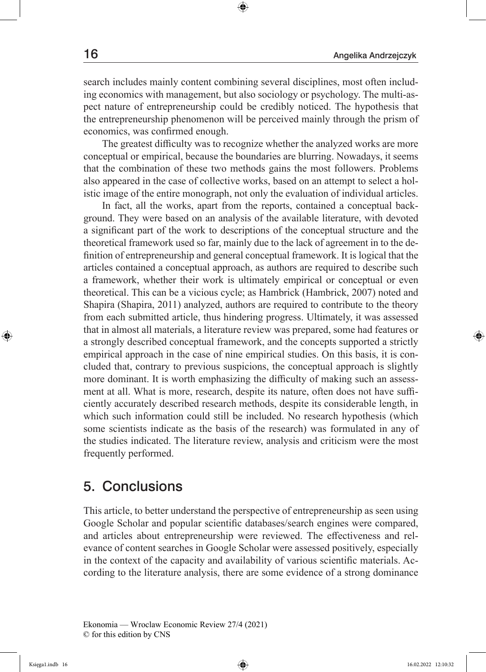search includes mainly content combining several disciplines, most often including economics with management, but also sociology or psychology. The multi-aspect nature of entrepreneurship could be credibly noticed. The hypothesis that the entrepreneurship phenomenon will be perceived mainly through the prism of economics, was confirmed enough.

The greatest difficulty was to recognize whether the analyzed works are more conceptual or empirical, because the boundaries are blurring. Nowadays, it seems that the combination of these two methods gains the most followers. Problems also appeared in the case of collective works, based on an attempt to select a holistic image of the entire monograph, not only the evaluation of individual articles.

In fact, all the works, apart from the reports, contained a conceptual background. They were based on an analysis of the available literature, with devoted a significant part of the work to descriptions of the conceptual structure and the theoretical framework used so far, mainly due to the lack of agreement in to the definition of entrepreneurship and general conceptual framework. It is logical that the articles contained a conceptual approach, as authors are required to describe such a framework, whether their work is ultimately empirical or conceptual or even theoretical. This can be a vicious cycle; as Hambrick (Hambrick, 2007) noted and Shapira (Shapira, 2011) analyzed, authors are required to contribute to the theory from each submitted article, thus hindering progress. Ultimately, it was assessed that in almost all materials, a literature review was prepared, some had features or a strongly described conceptual framework, and the concepts supported a strictly empirical approach in the case of nine empirical studies. On this basis, it is concluded that, contrary to previous suspicions, the conceptual approach is slightly more dominant. It is worth emphasizing the difficulty of making such an assessment at all. What is more, research, despite its nature, often does not have sufficiently accurately described research methods, despite its considerable length, in which such information could still be included. No research hypothesis (which some scientists indicate as the basis of the research) was formulated in any of the studies indicated. The literature review, analysis and criticism were the most frequently performed.

#### 5. Conclusions

This article, to better understand the perspective of entrepreneurship as seen using Google Scholar and popular scientific databases/search engines were compared, and articles about entrepreneurship were reviewed. The effectiveness and relevance of content searches in Google Scholar were assessed positively, especially in the context of the capacity and availability of various scientific materials. According to the literature analysis, there are some evidence of a strong dominance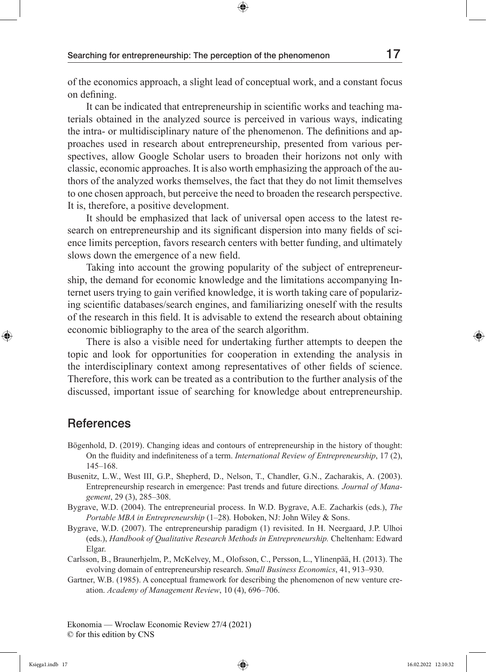of the economics approach, a slight lead of conceptual work, and a constant focus on defining.

It can be indicated that entrepreneurship in scientific works and teaching materials obtained in the analyzed source is perceived in various ways, indicating the intra- or multidisciplinary nature of the phenomenon. The definitions and approaches used in research about entrepreneurship, presented from various perspectives, allow Google Scholar users to broaden their horizons not only with classic, economic approaches. It is also worth emphasizing the approach of the authors of the analyzed works themselves, the fact that they do not limit themselves to one chosen approach, but perceive the need to broaden the research perspective. It is, therefore, a positive development.

It should be emphasized that lack of universal open access to the latest research on entrepreneurship and its significant dispersion into many fields of science limits perception, favors research centers with better funding, and ultimately slows down the emergence of a new field.

Taking into account the growing popularity of the subject of entrepreneurship, the demand for economic knowledge and the limitations accompanying Internet users trying to gain verified knowledge, it is worth taking care of popularizing scientific databases/search engines, and familiarizing oneself with the results of the research in this field. It is advisable to extend the research about obtaining economic bibliography to the area of the search algorithm.

There is also a visible need for undertaking further attempts to deepen the topic and look for opportunities for cooperation in extending the analysis in the interdisciplinary context among representatives of other fields of science. Therefore, this work can be treated as a contribution to the further analysis of the discussed, important issue of searching for knowledge about entrepreneurship.

#### **References**

- Bögenhold, D. (2019). Changing ideas and contours of entrepreneurship in the history of thought: On the fluidity and indefiniteness of a term. *International Review of Entrepreneurship*, 17 (2), 145–168.
- Busenitz, L.W., West III, G.P., Shepherd, D., Nelson, T., Chandler, G.N., Zacharakis, A. (2003). Entrepreneurship research in emergence: Past trends and future directions*. Journal of Management*, 29 (3), 285–308.
- Bygrave, W.D. (2004). The entrepreneurial process. In W.D. Bygrave, A.E. Zacharkis (eds.), *The Portable MBA in Entrepreneurship* (1–28)*.* Hoboken, NJ: John Wiley & Sons.
- Bygrave, W.D. (2007). The entrepreneurship paradigm (1) revisited. In H. Neergaard, J.P. Ulhoi (eds.), *Handbook of Qualitative Research Methods in Entrepreneurship.* Cheltenham: Edward Elgar.
- Carlsson, B., Braunerhjelm, P., McKelvey, M., Olofsson, C., Persson, L., Ylinenpää, H. (2013). The evolving domain of entrepreneurship research. *Small Business Economics*, 41, 913–930.
- Gartner, W.B. (1985). A conceptual framework for describing the phenomenon of new venture creation. *Academy of Management Review*, 10 (4), 696–706.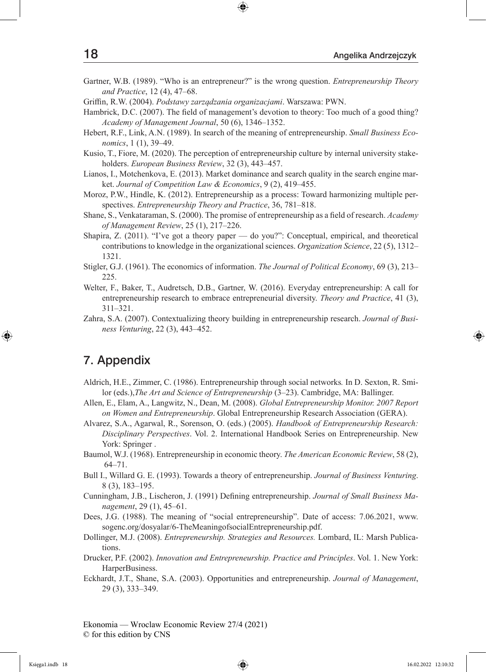- Gartner, W.B. (1989). "Who is an entrepreneur?" is the wrong question. *Entrepreneurship Theory and Practice*, 12 (4), 47–68.
- Griffin, R.W. (2004). *Podstawy zarządzania organizacjami*. Warszawa: PWN.
- Hambrick, D.C. (2007). The field of management's devotion to theory: Too much of a good thing? *Academy of Management Journal*, 50 (6), 1346–1352.
- Hebert, R.F., Link, A.N. (1989). In search of the meaning of entrepreneurship. *Small Business Economics*, 1 (1), 39–49.
- Kusio, T., Fiore, M. (2020). The perception of entrepreneurship culture by internal university stakeholders. *European Business Review*, 32 (3), 443–457.
- Lianos, I., Motchenkova, E. (2013). Market dominance and search quality in the search engine market. *Journal of Competition Law & Economics*, 9 (2), 419–455.
- Moroz, P.W., Hindle, K. (2012). Entrepreneurship as a process: Toward harmonizing multiple perspectives. *Entrepreneurship Theory and Practice*, 36, 781–818.
- Shane, S., Venkataraman, S. (2000). The promise of entrepreneurship as a field of research. *Academy of Management Review*, 25 (1), 217–226.
- Shapira, Z. (2011). "I've got a theory paper do you?": Conceptual, empirical, and theoretical contributions to knowledge in the organizational sciences. *Organization Science*, 22 (5), 1312– 1321.
- Stigler, G.J. (1961). The economics of information. *The Journal of Political Economy*, 69 (3), 213– 225.
- Welter, F., Baker, T., Audretsch, D.B., Gartner, W. (2016). Everyday entrepreneurship: A call for entrepreneurship research to embrace entrepreneurial diversity. *Theory and Practice*, 41 (3), 311–321.
- Zahra, S.A. (2007). Contextualizing theory building in entrepreneurship research. *Journal of Business Venturing*, 22 (3), 443–452.

#### 7. Appendix

- Aldrich, H.E., Zimmer, C. (1986). Entrepreneurship through social networks*.* In D. Sexton, R. Smilor (eds.),*The Art and Science of Entrepreneurship* (3–23). Cambridge, MA: Ballinger.
- Allen, E., Elam, A., Langwitz, N., Dean, M. (2008). *Global Entrepreneurship Monitor. 2007 Report on Women and Entrepreneurship*. Global Entrepreneurship Research Association (GERA).
- Alvarez, S.A., Agarwal, R., Sorenson, O. (eds.) (2005). *Handbook of Entrepreneurship Research: Disciplinary Perspectives*. Vol. 2. International Handbook Series on Entrepreneurship. New York: Springer .
- Baumol, W.J. (1968). Entrepreneurship in economic theory. *The American Economic Review*, 58 (2), 64–71.
- Bull I., Willard G. E. (1993). Towards a theory of entrepreneurship. *Journal of Business Venturing*. 8 (3), 183–195.
- Cunningham, J.B., Lischeron, J. (1991) Defining entrepreneurship. *Journal of Small Business Management*, 29 (1), 45–61.
- Dees, J.G. (1988). The meaning of "social entrepreneurship". Date of access: 7.06.2021, www. sogenc.org/dosyalar/6-TheMeaningofsocialEntrepreneurship.pdf.
- Dollinger, M.J. (2008). *Entrepreneurship. Strategies and Resources.* Lombard, IL: Marsh Publications.
- Drucker, P.F. (2002). *Innovation and Entrepreneurship. Practice and Principles*. Vol. 1. New York: HarperBusiness.
- Eckhardt, J.T., Shane, S.A. (2003). Opportunities and entrepreneurship. *Journal of Management*, 29 (3), 333–349.